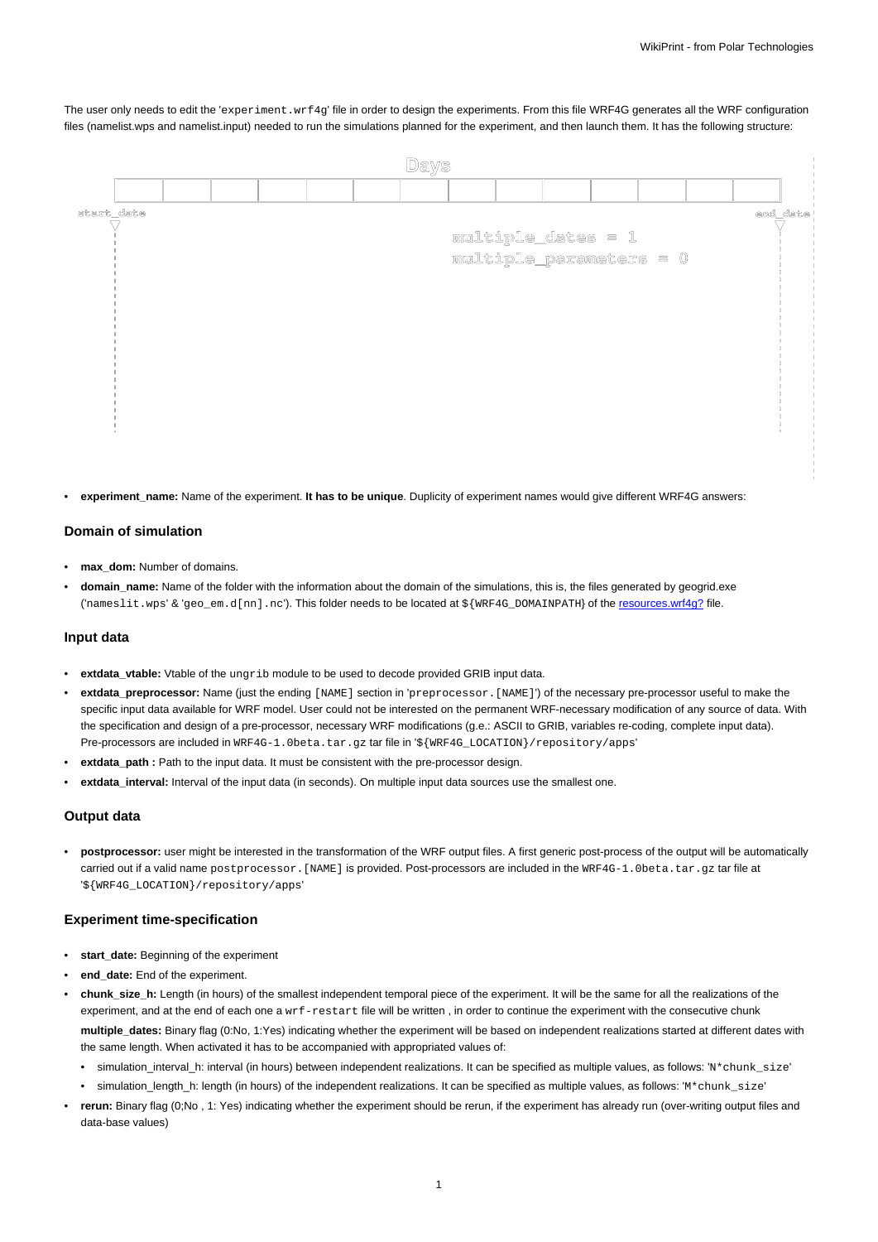The user only needs to edit the 'experiment.wrf4g' file in order to design the experiments. From this file WRF4G generates all the WRF configuration files (namelist.wps and namelist.input) needed to run the simulations planned for the experiment, and then launch them. It has the following structure:

| start date<br>end_date<br>multiple_dates = 1<br>multiple_parameters = 0 |
|-------------------------------------------------------------------------|
|                                                                         |
|                                                                         |
|                                                                         |
|                                                                         |
|                                                                         |
|                                                                         |
|                                                                         |
|                                                                         |
|                                                                         |
|                                                                         |
|                                                                         |
|                                                                         |

experiment name: Name of the experiment. It has to be unique. Duplicity of experiment names would give different WRF4G answers:

# **Domain of simulation**

- **max\_dom:** Number of domains.
- **domain\_name:** Name of the folder with the information about the domain of the simulations, this is, the files generated by geogrid.exe ('nameslit.wps' & 'geo\_em.d[nn].nc'). This folder needs to be located at \${WRF4G\_DOMAINPATH} of the resources.wrf4g? file.

# **Input data**

- **extdata\_vtable:** Vtable of the ungrib module to be used to decode provided GRIB input data.
- **extdata\_preprocessor:** Name (just the ending [NAME] section in 'preprocessor.[NAME]') of the necessary pre-processor useful to make the specific input data available for WRF model. User could not be interested on the permanent WRF-necessary modification of any source of data. With the specification and design of a pre-processor, necessary WRF modifications (g.e.: ASCII to GRIB, variables re-coding, complete input data). Pre-processors are included in WRF4G-1.0beta.tar.gz tar file in '\${WRF4G\_LOCATION}/repository/apps'
- extdata path : Path to the input data. It must be consistent with the pre-processor design.
- **extdata\_interval:** Interval of the input data (in seconds). On multiple input data sources use the smallest one.

# **Output data**

• **postprocessor:** user might be interested in the transformation of the WRF output files. A first generic post-process of the output will be automatically carried out if a valid name postprocessor. [NAME] is provided. Post-processors are included in the WRF4G-1.0beta.tar.gz tar file at '\${WRF4G\_LOCATION}/repository/apps'

## **Experiment time-specification**

- **start\_date:** Beginning of the experiment
- **end\_date:** End of the experiment.
- **chunk\_size\_h:** Length (in hours) of the smallest independent temporal piece of the experiment. It will be the same for all the realizations of the experiment, and at the end of each one a wrf-restart file will be written, in order to continue the experiment with the consecutive chunk **multiple\_dates:** Binary flag (0:No, 1:Yes) indicating whether the experiment will be based on independent realizations started at different dates with the same length. When activated it has to be accompanied with appropriated values of:
	- simulation\_interval\_h: interval (in hours) between independent realizations. It can be specified as multiple values, as follows: 'N\*chunk\_size'
	- simulation\_length\_h: length (in hours) of the independent realizations. It can be specified as multiple values, as follows: 'M\*chunk\_size'
- **rerun:** Binary flag (0;No , 1: Yes) indicating whether the experiment should be rerun, if the experiment has already run (over-writing output files and data-base values)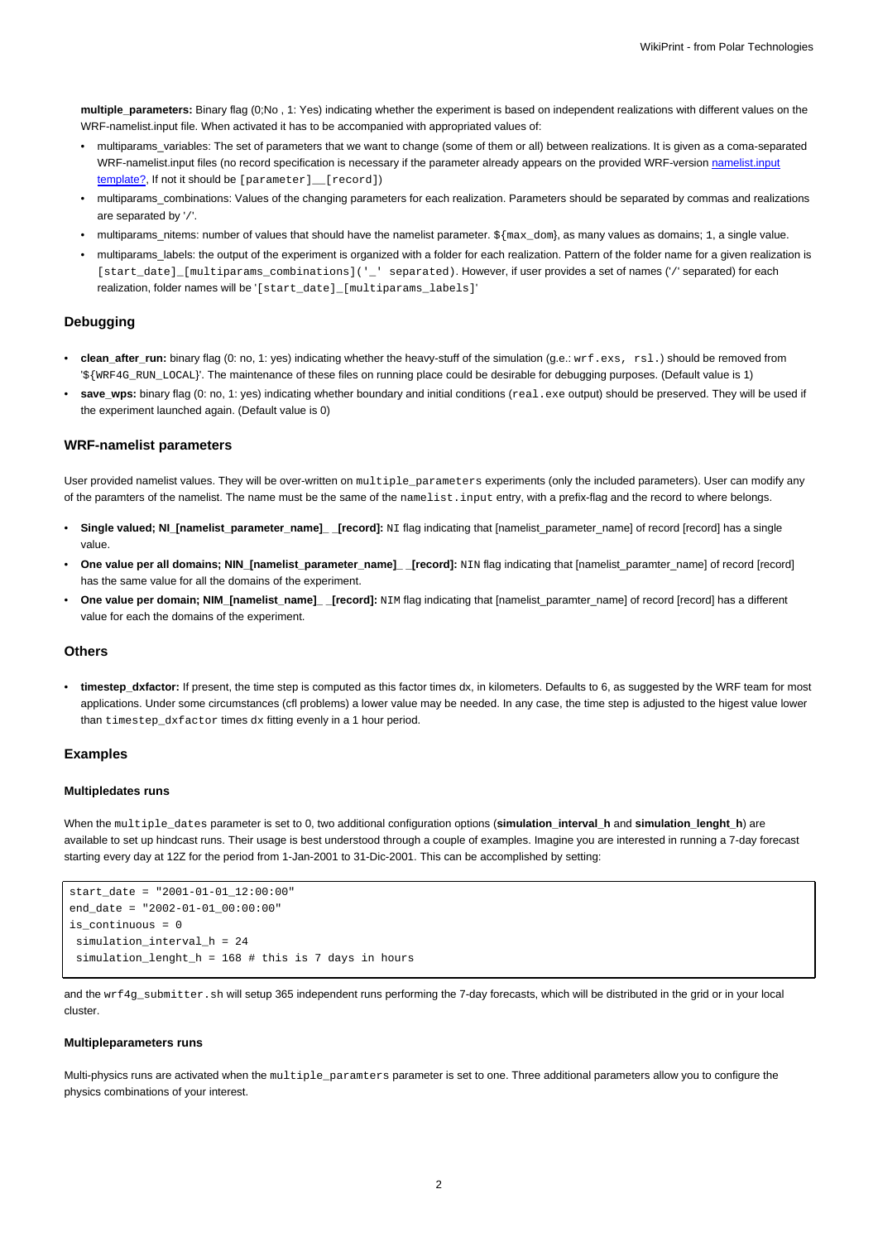**multiple\_parameters:** Binary flag (0;No , 1: Yes) indicating whether the experiment is based on independent realizations with different values on the WRF-namelist.input file. When activated it has to be accompanied with appropriated values of:

- multiparams\_variables: The set of parameters that we want to change (some of them or all) between realizations. It is given as a coma-separated WRF-namelist.input files (no record specification is necessary if the parameter already appears on the provided WRF-version namelist.input template?, If not it should be [parameter] \_ [record])
- multiparams\_combinations: Values of the changing parameters for each realization. Parameters should be separated by commas and realizations are separated by '/'.
- multiparams\_nitems: number of values that should have the namelist parameter. \${max\_dom}, as many values as domains; 1, a single value.
- multiparams\_labels: the output of the experiment is organized with a folder for each realization. Pattern of the folder name for a given realization is [start\_date]\_[multiparams\_combinations]('\_' separated). However, if user provides a set of names ('/' separated) for each realization, folder names will be '[start\_date]\_[multiparams\_labels]'

## **Debugging**

- **clean\_after\_run:** binary flag (0: no, 1: yes) indicating whether the heavy-stuff of the simulation (g.e.: wrf.exs, rsl.) should be removed from '\${WRF4G\_RUN\_LOCAL}'. The maintenance of these files on running place could be desirable for debugging purposes. (Default value is 1)
- save\_wps: binary flag (0: no, 1: yes) indicating whether boundary and initial conditions (real.exe output) should be preserved. They will be used if the experiment launched again. (Default value is 0)

#### **WRF-namelist parameters**

User provided namelist values. They will be over-written on multiple parameters experiments (only the included parameters). User can modify any of the paramters of the namelist. The name must be the same of the namelist.input entry, with a prefix-flag and the record to where belongs.

- **Single valued; NI\_[namelist\_parameter\_name]\_ \_[record]:** NI flag indicating that [namelist\_parameter\_name] of record [record] has a single value.
- **One value per all domains; NIN\_[namelist\_parameter\_name]\_ \_[record]:** NIN flag indicating that [namelist\_paramter\_name] of record [record] has the same value for all the domains of the experiment.
- **One value per domain; NIM\_[namelist\_name]\_ \_[record]:** NIM flag indicating that [namelist\_paramter\_name] of record [record] has a different value for each the domains of the experiment.

### **Others**

• **timestep\_dxfactor:** If present, the time step is computed as this factor times dx, in kilometers. Defaults to 6, as suggested by the WRF team for most applications. Under some circumstances (cfl problems) a lower value may be needed. In any case, the time step is adjusted to the higest value lower than timestep dxfactor times dx fitting evenly in a 1 hour period.

## **Examples**

#### **Multipledates runs**

When the multiple\_dates parameter is set to 0, two additional configuration options (**simulation\_interval\_h** and **simulation\_lenght\_h**) are available to set up hindcast runs. Their usage is best understood through a couple of examples. Imagine you are interested in running a 7-day forecast starting every day at 12Z for the period from 1-Jan-2001 to 31-Dic-2001. This can be accomplished by setting:

```
start\_date = "2001-01-01_12:00:00"end date = "2002-01-01_00:00:00"
is continuous = 0simulation interval h = 24simulation_lenght_h = 168 # this is 7 days in hours
```
and the wrf4g\_submitter.sh will setup 365 independent runs performing the 7-day forecasts, which will be distributed in the grid or in your local cluster.

# **Multipleparameters runs**

Multi-physics runs are activated when the multiple\_paramters parameter is set to one. Three additional parameters allow you to configure the physics combinations of your interest.